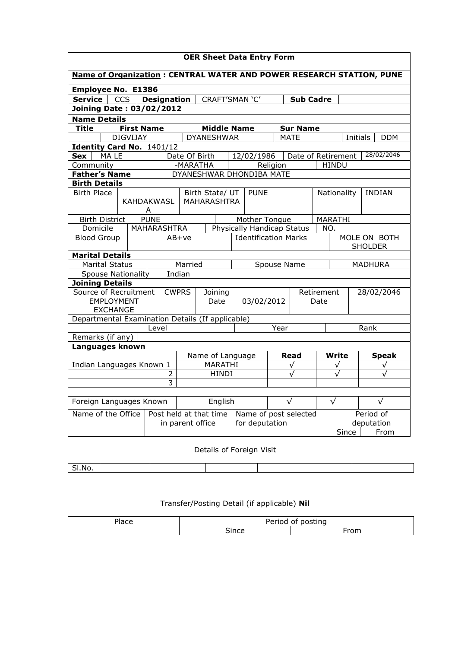| <b>OER Sheet Data Entry Form</b>                                                         |                        |                   |      |                                                  |                   |  |                    |                                    |            |                 |                              |              |              |            |
|------------------------------------------------------------------------------------------|------------------------|-------------------|------|--------------------------------------------------|-------------------|--|--------------------|------------------------------------|------------|-----------------|------------------------------|--------------|--------------|------------|
| Name of Organization : CENTRAL WATER AND POWER RESEARCH STATION, PUNE                    |                        |                   |      |                                                  |                   |  |                    |                                    |            |                 |                              |              |              |            |
| <b>Employee No. E1386</b>                                                                |                        |                   |      |                                                  |                   |  |                    |                                    |            |                 |                              |              |              |            |
| <b>Service</b><br><b>Designation</b><br><b>CCS</b><br>CRAFT'SMAN 'C'<br><b>Sub Cadre</b> |                        |                   |      |                                                  |                   |  |                    |                                    |            |                 |                              |              |              |            |
| <b>Joining Date: 03/02/2012</b>                                                          |                        |                   |      |                                                  |                   |  |                    |                                    |            |                 |                              |              |              |            |
| <b>Name Details</b>                                                                      |                        |                   |      |                                                  |                   |  |                    |                                    |            |                 |                              |              |              |            |
| Title                                                                                    |                        | <b>First Name</b> |      |                                                  |                   |  | <b>Middle Name</b> |                                    |            | <b>Sur Name</b> |                              |              |              |            |
|                                                                                          | DIGVIJAY               |                   |      |                                                  | <b>DYANESHWAR</b> |  |                    |                                    |            | <b>MATE</b>     |                              |              | Initials     | <b>DDM</b> |
| Identity Card No. 1401/12                                                                |                        |                   |      |                                                  |                   |  |                    |                                    |            |                 |                              |              |              |            |
| Sex<br>MA LE                                                                             |                        |                   |      | Date Of Birth<br>12/02/1986                      |                   |  |                    | 28/02/2046<br>Date of Retirement   |            |                 |                              |              |              |            |
| Community                                                                                |                        |                   |      | -MARATHA                                         |                   |  |                    |                                    | Religion   |                 |                              | <b>HINDU</b> |              |            |
| <b>Father's Name</b>                                                                     |                        |                   |      |                                                  |                   |  |                    | DYANESHWAR DHONDIBA MATE           |            |                 |                              |              |              |            |
| <b>Birth Details</b><br><b>Birth Place</b>                                               |                        |                   |      |                                                  |                   |  |                    |                                    |            |                 |                              |              |              |            |
|                                                                                          |                        | KAHDAKWASL        |      | <b>MAHARASHTRA</b>                               | Birth State/ UT   |  |                    | <b>PUNE</b>                        |            |                 | Nationality<br><b>INDIAN</b> |              |              |            |
|                                                                                          |                        | A                 |      |                                                  |                   |  |                    |                                    |            |                 |                              |              |              |            |
| <b>PUNE</b><br><b>Birth District</b>                                                     |                        |                   |      | Mother Tongue<br>MARATHI                         |                   |  |                    |                                    |            |                 |                              |              |              |            |
| Domicile                                                                                 |                        | MAHARASHTRA       |      | Physically Handicap Status                       |                   |  |                    |                                    |            | NO.             |                              |              |              |            |
| <b>Blood Group</b>                                                                       |                        |                   |      | <b>Identification Marks</b><br>$AB+ve$           |                   |  |                    | MOLE ON BOTH<br><b>SHOLDER</b>     |            |                 |                              |              |              |            |
|                                                                                          | <b>Marital Details</b> |                   |      |                                                  |                   |  |                    |                                    |            |                 |                              |              |              |            |
| <b>Marital Status</b>                                                                    |                        |                   |      | Married<br><b>MADHURA</b><br>Spouse Name         |                   |  |                    |                                    |            |                 |                              |              |              |            |
| Indian<br><b>Spouse Nationality</b>                                                      |                        |                   |      |                                                  |                   |  |                    |                                    |            |                 |                              |              |              |            |
| <b>Joining Details</b>                                                                   |                        |                   |      |                                                  |                   |  |                    |                                    |            |                 |                              |              |              |            |
| Source of Recruitment                                                                    |                        |                   |      | <b>CWPRS</b><br>Joining                          |                   |  |                    |                                    | Retirement |                 |                              | 28/02/2046   |              |            |
| <b>EMPLOYMENT</b>                                                                        |                        |                   | Date |                                                  | 03/02/2012        |  |                    | Date                               |            |                 |                              |              |              |            |
| <b>EXCHANGE</b>                                                                          |                        |                   |      | Departmental Examination Details (If applicable) |                   |  |                    |                                    |            |                 |                              |              |              |            |
|                                                                                          |                        | Level             |      |                                                  |                   |  |                    |                                    | Year       |                 |                              |              | Rank         |            |
| Remarks (if any)                                                                         |                        |                   |      |                                                  |                   |  |                    |                                    |            |                 |                              |              |              |            |
| Languages known                                                                          |                        |                   |      |                                                  |                   |  |                    |                                    |            |                 |                              |              |              |            |
|                                                                                          |                        |                   |      | Name of Language                                 |                   |  |                    |                                    | Read       |                 | Write                        |              | <b>Speak</b> |            |
| Indian Languages Known 1                                                                 |                        |                   |      | MARATHI                                          |                   |  |                    | $\checkmark$                       |            |                 |                              | $\checkmark$ |              | $\sqrt{}$  |
|                                                                                          |                        |                   | 2    | <b>HINDI</b>                                     |                   |  |                    |                                    |            |                 |                              |              |              |            |
|                                                                                          |                        |                   |      | 3                                                |                   |  |                    |                                    |            |                 |                              |              |              |            |
|                                                                                          |                        |                   |      |                                                  |                   |  |                    |                                    |            |                 |                              |              |              |            |
| Foreign Languages Known                                                                  |                        |                   |      | English                                          |                   |  |                    |                                    | $\sqrt{}$  |                 |                              | $\sqrt{}$    |              | $\sqrt{}$  |
| Name of the Office                                                                       |                        |                   |      | Post held at that time                           |                   |  |                    | Period of<br>Name of post selected |            |                 |                              |              |              |            |
|                                                                                          |                        |                   |      | for deputation<br>in parent office               |                   |  |                    | deputation                         |            |                 |                              |              |              |            |
|                                                                                          |                        |                   |      |                                                  | Since<br>From     |  |                    |                                    |            |                 |                              |              |              |            |

Details of Foreign Visit

| <b>INO</b> |  |  |  |
|------------|--|--|--|

Transfer/Posting Detail (if applicable) Nil

| eldCC. | . .<br>n - - - - -<br>.<br>חר<br>n<br>ו ' |      |  |  |  |  |  |
|--------|-------------------------------------------|------|--|--|--|--|--|
|        | -<br>ùnce<br>.                            | $ -$ |  |  |  |  |  |